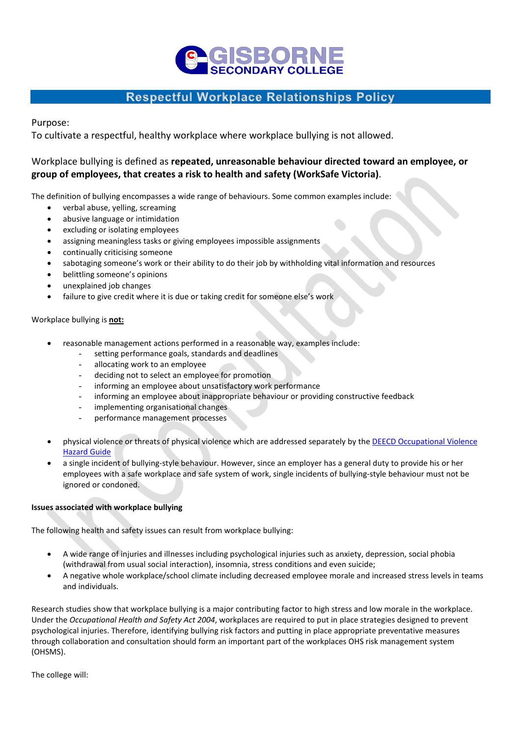# **FISBOR**

## **Respectful Workplace Relationships Policy**

Purpose:

To cultivate a respectful, healthy workplace where workplace bullying is not allowed.

### Workplace bullying is defined as **repeated, unreasonable behaviour directed toward an employee, or group of employees, that creates a risk to health and safety (WorkSafe Victoria)**.

The definition of bullying encompasses a wide range of behaviours. Some common examples include:

- verbal abuse, yelling, screaming
- abusive language or intimidation
- excluding or isolating employees
- assigning meaningless tasks or giving employees impossible assignments
- continually criticising someone
- sabotaging someone's work or their ability to do their job by withholding vital information and resources
- belittling someone's opinions
- unexplained job changes
- failure to give credit where it is due or taking credit for someone else's work

#### Workplace bullying is **not:**

- reasonable management actions performed in a reasonable way, examples include:
	- setting performance goals, standards and deadlines
	- allocating work to an employee
	- deciding not to select an employee for promotion
	- informing an employee about unsatisfactory work performance
	- informing an employee about inappropriate behaviour or providing constructive feedback
	- implementing organisational changes
	- performance management processes
- physical violence or threats of physical violence which are addressed separately by the DEECD Occupational Violence [Hazard Guide](http://www.education.vic.gov.au/hr/ohs/hazards/Occviolence.htm)
- a single incident of bullying-style behaviour. However, since an employer has a general duty to provide his or her employees with a safe workplace and safe system of work, single incidents of bullying-style behaviour must not be ignored or condoned.

#### **Issues associated with workplace bullying**

The following health and safety issues can result from workplace bullying:

- A wide range of injuries and illnesses including psychological injuries such as anxiety, depression, social phobia (withdrawal from usual social interaction), insomnia, stress conditions and even suicide;
- A negative whole workplace/school climate including decreased employee morale and increased stress levels in teams and individuals.

Research studies show that workplace bullying is a major contributing factor to high stress and low morale in the workplace. Under the *Occupational Health and Safety Act 2004*, workplaces are required to put in place strategies designed to prevent psychological injuries. Therefore, identifying bullying risk factors and putting in place appropriate preventative measures through collaboration and consultation should form an important part of the workplaces OHS risk management system (OHSMS).

The college will: